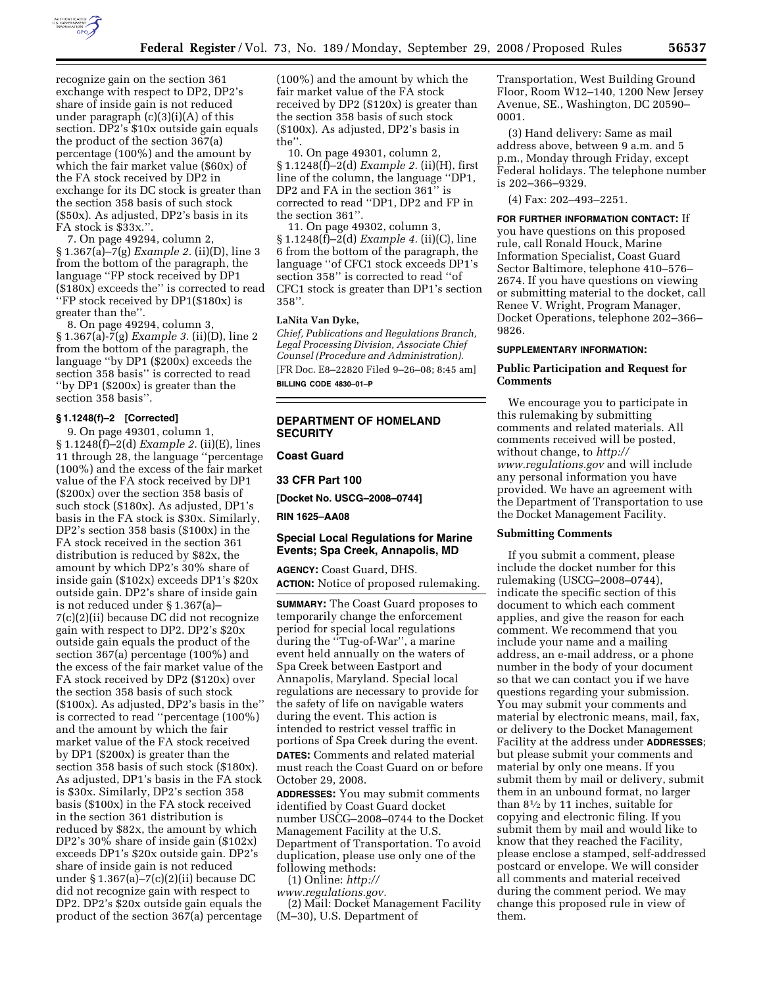

recognize gain on the section 361 exchange with respect to DP2, DP2's share of inside gain is not reduced under paragraph (c)(3)(i)(A) of this section. DP2's \$10x outside gain equals the product of the section 367(a) percentage (100%) and the amount by which the fair market value (\$60x) of the FA stock received by DP2 in exchange for its DC stock is greater than the section 358 basis of such stock (\$50x). As adjusted, DP2's basis in its FA stock is \$33x."

7. On page 49294, column 2, § 1.367(a)–7(g) *Example 2.* (ii)(D), line 3 from the bottom of the paragraph, the language ''FP stock received by DP1 (\$180x) exceeds the'' is corrected to read ''FP stock received by DP1(\$180x) is greater than the''.

8. On page 49294, column 3, § 1.367(a)-7(g) *Example 3.* (ii)(D), line 2 from the bottom of the paragraph, the language ''by DP1 (\$200x) exceeds the section 358 basis'' is corrected to read ''by DP1 (\$200x) is greater than the section 358 basis''.

## **§ 1.1248(f)–2 [Corrected]**

9. On page 49301, column 1, § 1.1248(f)–2(d) *Example 2.* (ii)(E), lines 11 through 28, the language ''percentage (100%) and the excess of the fair market value of the FA stock received by DP1 (\$200x) over the section 358 basis of such stock (\$180x). As adjusted, DP1's basis in the FA stock is \$30x. Similarly, DP2's section 358 basis (\$100x) in the FA stock received in the section 361 distribution is reduced by \$82x, the amount by which DP2's 30% share of inside gain (\$102x) exceeds DP1's \$20x outside gain. DP2's share of inside gain is not reduced under § 1.367(a)– 7(c)(2)(ii) because DC did not recognize gain with respect to DP2. DP2's \$20x outside gain equals the product of the section 367(a) percentage (100%) and the excess of the fair market value of the FA stock received by DP2 (\$120x) over the section 358 basis of such stock (\$100x). As adjusted, DP2's basis in the'' is corrected to read ''percentage (100%) and the amount by which the fair market value of the FA stock received by DP1 (\$200x) is greater than the section 358 basis of such stock (\$180x). As adjusted, DP1's basis in the FA stock is \$30x. Similarly, DP2's section 358 basis (\$100x) in the FA stock received in the section 361 distribution is reduced by \$82x, the amount by which DP2's 30% share of inside gain (\$102x) exceeds DP1's \$20x outside gain. DP2's share of inside gain is not reduced under  $\S 1.367(a) - 7(c)(2)(ii)$  because DC did not recognize gain with respect to DP2. DP2's \$20x outside gain equals the product of the section 367(a) percentage

(100%) and the amount by which the fair market value of the FA stock received by DP2 (\$120x) is greater than the section 358 basis of such stock (\$100x). As adjusted, DP2's basis in the''.

10. On page 49301, column 2, § 1.1248(f)–2(d) *Example 2.* (ii)(H), first line of the column, the language ''DP1, DP2 and FA in the section 361'' is corrected to read ''DP1, DP2 and FP in the section 361''.

11. On page 49302, column 3, § 1.1248(f)–2(d) *Example 4.* (ii)(C), line 6 from the bottom of the paragraph, the language ''of CFC1 stock exceeds DP1's section 358'' is corrected to read ''of CFC1 stock is greater than DP1's section 358''.

#### **LaNita Van Dyke,**

*Chief, Publications and Regulations Branch, Legal Processing Division, Associate Chief Counsel (Procedure and Administration).*  [FR Doc. E8–22820 Filed 9–26–08; 8:45 am] **BILLING CODE 4830–01–P** 

## **DEPARTMENT OF HOMELAND SECURITY**

**Coast Guard** 

**33 CFR Part 100** 

**[Docket No. USCG–2008–0744]** 

**RIN 1625–AA08** 

## **Special Local Regulations for Marine Events; Spa Creek, Annapolis, MD**

**AGENCY:** Coast Guard, DHS. **ACTION:** Notice of proposed rulemaking.

**SUMMARY:** The Coast Guard proposes to temporarily change the enforcement period for special local regulations during the ''Tug-of-War'', a marine event held annually on the waters of Spa Creek between Eastport and Annapolis, Maryland. Special local regulations are necessary to provide for the safety of life on navigable waters during the event. This action is intended to restrict vessel traffic in portions of Spa Creek during the event. **DATES:** Comments and related material must reach the Coast Guard on or before October 29, 2008.

**ADDRESSES:** You may submit comments identified by Coast Guard docket number USCG–2008–0744 to the Docket Management Facility at the U.S. Department of Transportation. To avoid duplication, please use only one of the following methods:

(1) Online: *http://* 

*www.regulations.gov.* 

(2) Mail: Docket Management Facility (M–30), U.S. Department of

Transportation, West Building Ground Floor, Room W12–140, 1200 New Jersey Avenue, SE., Washington, DC 20590– 0001.

(3) Hand delivery: Same as mail address above, between 9 a.m. and 5 p.m., Monday through Friday, except Federal holidays. The telephone number is 202–366–9329.

(4) Fax: 202–493–2251.

**FOR FURTHER INFORMATION CONTACT:** If you have questions on this proposed rule, call Ronald Houck, Marine Information Specialist, Coast Guard Sector Baltimore, telephone 410–576– 2674. If you have questions on viewing or submitting material to the docket, call Renee V. Wright, Program Manager, Docket Operations, telephone 202–366– 9826.

#### **SUPPLEMENTARY INFORMATION:**

## **Public Participation and Request for Comments**

We encourage you to participate in this rulemaking by submitting comments and related materials. All comments received will be posted, without change, to *http:// www.regulations.gov* and will include any personal information you have provided. We have an agreement with the Department of Transportation to use the Docket Management Facility.

#### **Submitting Comments**

If you submit a comment, please include the docket number for this rulemaking (USCG–2008–0744), indicate the specific section of this document to which each comment applies, and give the reason for each comment. We recommend that you include your name and a mailing address, an e-mail address, or a phone number in the body of your document so that we can contact you if we have questions regarding your submission. You may submit your comments and material by electronic means, mail, fax, or delivery to the Docket Management Facility at the address under **ADDRESSES**; but please submit your comments and material by only one means. If you submit them by mail or delivery, submit them in an unbound format, no larger than 81⁄2 by 11 inches, suitable for copying and electronic filing. If you submit them by mail and would like to know that they reached the Facility, please enclose a stamped, self-addressed postcard or envelope. We will consider all comments and material received during the comment period. We may change this proposed rule in view of them.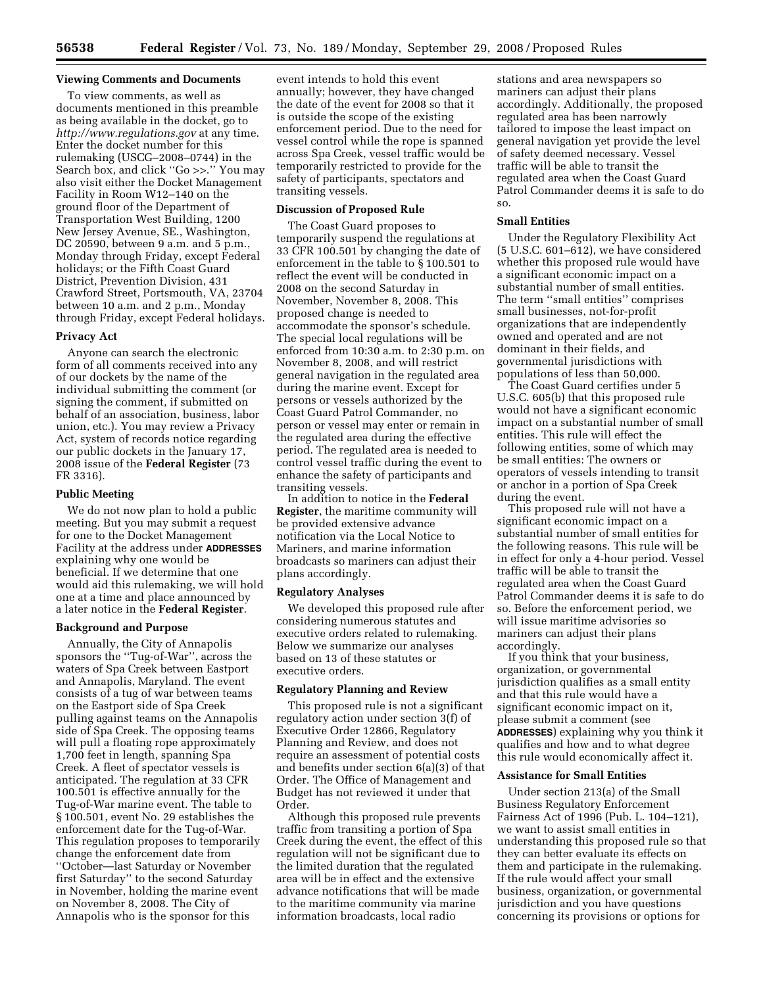## **Viewing Comments and Documents**

To view comments, as well as documents mentioned in this preamble as being available in the docket, go to *http://www.regulations.gov* at any time. Enter the docket number for this rulemaking (USCG–2008–0744) in the Search box, and click ''Go >>.'' You may also visit either the Docket Management Facility in Room W12–140 on the ground floor of the Department of Transportation West Building, 1200 New Jersey Avenue, SE., Washington, DC 20590, between 9 a.m. and 5 p.m., Monday through Friday, except Federal holidays; or the Fifth Coast Guard District, Prevention Division, 431 Crawford Street, Portsmouth, VA, 23704 between 10 a.m. and 2 p.m., Monday through Friday, except Federal holidays.

#### **Privacy Act**

Anyone can search the electronic form of all comments received into any of our dockets by the name of the individual submitting the comment (or signing the comment, if submitted on behalf of an association, business, labor union, etc.). You may review a Privacy Act, system of records notice regarding our public dockets in the January 17, 2008 issue of the **Federal Register** (73 FR 3316).

#### **Public Meeting**

We do not now plan to hold a public meeting. But you may submit a request for one to the Docket Management Facility at the address under **ADDRESSES** explaining why one would be beneficial. If we determine that one would aid this rulemaking, we will hold one at a time and place announced by a later notice in the **Federal Register**.

#### **Background and Purpose**

Annually, the City of Annapolis sponsors the ''Tug-of-War'', across the waters of Spa Creek between Eastport and Annapolis, Maryland. The event consists of a tug of war between teams on the Eastport side of Spa Creek pulling against teams on the Annapolis side of Spa Creek. The opposing teams will pull a floating rope approximately 1,700 feet in length, spanning Spa Creek. A fleet of spectator vessels is anticipated. The regulation at 33 CFR 100.501 is effective annually for the Tug-of-War marine event. The table to § 100.501, event No. 29 establishes the enforcement date for the Tug-of-War. This regulation proposes to temporarily change the enforcement date from ''October—last Saturday or November first Saturday'' to the second Saturday in November, holding the marine event on November 8, 2008. The City of Annapolis who is the sponsor for this

event intends to hold this event annually; however, they have changed the date of the event for 2008 so that it is outside the scope of the existing enforcement period. Due to the need for vessel control while the rope is spanned across Spa Creek, vessel traffic would be temporarily restricted to provide for the safety of participants, spectators and transiting vessels.

## **Discussion of Proposed Rule**

The Coast Guard proposes to temporarily suspend the regulations at 33 CFR 100.501 by changing the date of enforcement in the table to § 100.501 to reflect the event will be conducted in 2008 on the second Saturday in November, November 8, 2008. This proposed change is needed to accommodate the sponsor's schedule. The special local regulations will be enforced from 10:30 a.m. to 2:30 p.m. on November 8, 2008, and will restrict general navigation in the regulated area during the marine event. Except for persons or vessels authorized by the Coast Guard Patrol Commander, no person or vessel may enter or remain in the regulated area during the effective period. The regulated area is needed to control vessel traffic during the event to enhance the safety of participants and transiting vessels.

In addition to notice in the **Federal Register**, the maritime community will be provided extensive advance notification via the Local Notice to Mariners, and marine information broadcasts so mariners can adjust their plans accordingly.

## **Regulatory Analyses**

We developed this proposed rule after considering numerous statutes and executive orders related to rulemaking. Below we summarize our analyses based on 13 of these statutes or executive orders.

## **Regulatory Planning and Review**

This proposed rule is not a significant regulatory action under section 3(f) of Executive Order 12866, Regulatory Planning and Review, and does not require an assessment of potential costs and benefits under section 6(a)(3) of that Order. The Office of Management and Budget has not reviewed it under that Order.

Although this proposed rule prevents traffic from transiting a portion of Spa Creek during the event, the effect of this regulation will not be significant due to the limited duration that the regulated area will be in effect and the extensive advance notifications that will be made to the maritime community via marine information broadcasts, local radio

stations and area newspapers so mariners can adjust their plans accordingly. Additionally, the proposed regulated area has been narrowly tailored to impose the least impact on general navigation yet provide the level of safety deemed necessary. Vessel traffic will be able to transit the regulated area when the Coast Guard Patrol Commander deems it is safe to do so.

## **Small Entities**

Under the Regulatory Flexibility Act (5 U.S.C. 601–612), we have considered whether this proposed rule would have a significant economic impact on a substantial number of small entities. The term ''small entities'' comprises small businesses, not-for-profit organizations that are independently owned and operated and are not dominant in their fields, and governmental jurisdictions with populations of less than 50,000.

The Coast Guard certifies under 5 U.S.C. 605(b) that this proposed rule would not have a significant economic impact on a substantial number of small entities. This rule will effect the following entities, some of which may be small entities: The owners or operators of vessels intending to transit or anchor in a portion of Spa Creek during the event.

This proposed rule will not have a significant economic impact on a substantial number of small entities for the following reasons. This rule will be in effect for only a 4-hour period. Vessel traffic will be able to transit the regulated area when the Coast Guard Patrol Commander deems it is safe to do so. Before the enforcement period, we will issue maritime advisories so mariners can adjust their plans accordingly.

If you think that your business, organization, or governmental jurisdiction qualifies as a small entity and that this rule would have a significant economic impact on it, please submit a comment (see **ADDRESSES**) explaining why you think it qualifies and how and to what degree this rule would economically affect it.

### **Assistance for Small Entities**

Under section 213(a) of the Small Business Regulatory Enforcement Fairness Act of 1996 (Pub. L. 104–121), we want to assist small entities in understanding this proposed rule so that they can better evaluate its effects on them and participate in the rulemaking. If the rule would affect your small business, organization, or governmental jurisdiction and you have questions concerning its provisions or options for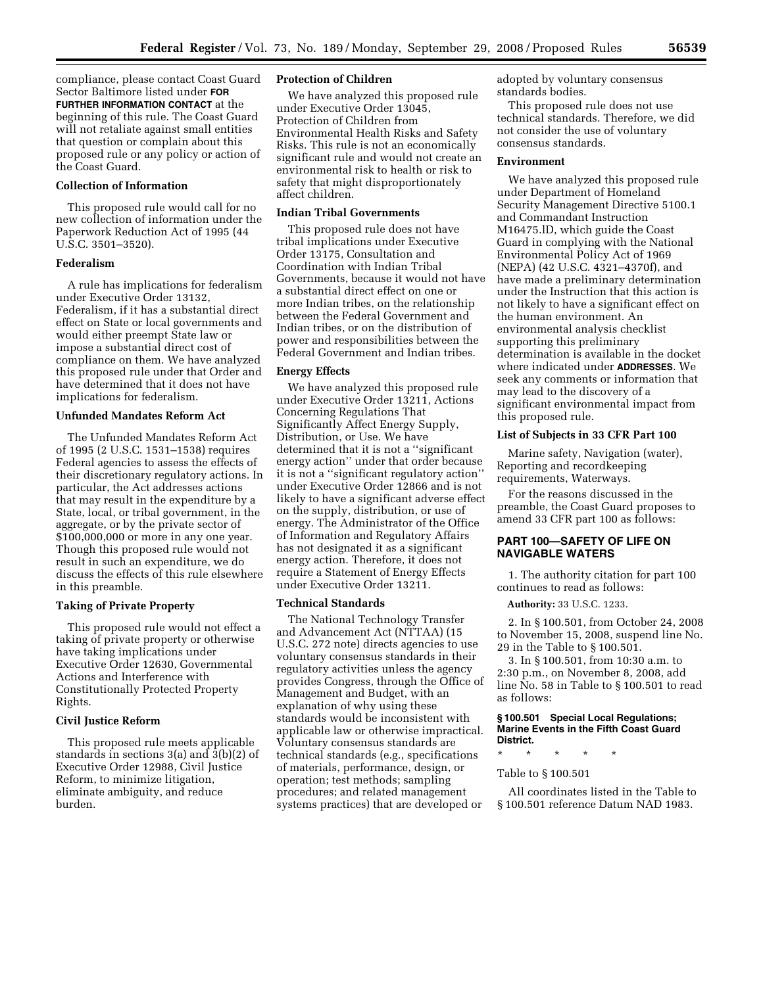compliance, please contact Coast Guard Sector Baltimore listed under **FOR FURTHER INFORMATION CONTACT** at the beginning of this rule. The Coast Guard will not retaliate against small entities that question or complain about this proposed rule or any policy or action of the Coast Guard.

### **Collection of Information**

This proposed rule would call for no new collection of information under the Paperwork Reduction Act of 1995 (44 U.S.C. 3501–3520).

### **Federalism**

A rule has implications for federalism under Executive Order 13132, Federalism, if it has a substantial direct effect on State or local governments and would either preempt State law or impose a substantial direct cost of compliance on them. We have analyzed this proposed rule under that Order and have determined that it does not have implications for federalism.

### **Unfunded Mandates Reform Act**

The Unfunded Mandates Reform Act of 1995 (2 U.S.C. 1531–1538) requires Federal agencies to assess the effects of their discretionary regulatory actions. In particular, the Act addresses actions that may result in the expenditure by a State, local, or tribal government, in the aggregate, or by the private sector of \$100,000,000 or more in any one year. Though this proposed rule would not result in such an expenditure, we do discuss the effects of this rule elsewhere in this preamble.

#### **Taking of Private Property**

This proposed rule would not effect a taking of private property or otherwise have taking implications under Executive Order 12630, Governmental Actions and Interference with Constitutionally Protected Property Rights.

## **Civil Justice Reform**

This proposed rule meets applicable standards in sections 3(a) and 3(b)(2) of Executive Order 12988, Civil Justice Reform, to minimize litigation, eliminate ambiguity, and reduce burden.

#### **Protection of Children**

We have analyzed this proposed rule under Executive Order 13045, Protection of Children from Environmental Health Risks and Safety Risks. This rule is not an economically significant rule and would not create an environmental risk to health or risk to safety that might disproportionately affect children.

## **Indian Tribal Governments**

This proposed rule does not have tribal implications under Executive Order 13175, Consultation and Coordination with Indian Tribal Governments, because it would not have a substantial direct effect on one or more Indian tribes, on the relationship between the Federal Government and Indian tribes, or on the distribution of power and responsibilities between the Federal Government and Indian tribes.

#### **Energy Effects**

We have analyzed this proposed rule under Executive Order 13211, Actions Concerning Regulations That Significantly Affect Energy Supply, Distribution, or Use. We have determined that it is not a ''significant energy action'' under that order because it is not a ''significant regulatory action'' under Executive Order 12866 and is not likely to have a significant adverse effect on the supply, distribution, or use of energy. The Administrator of the Office of Information and Regulatory Affairs has not designated it as a significant energy action. Therefore, it does not require a Statement of Energy Effects under Executive Order 13211.

#### **Technical Standards**

The National Technology Transfer and Advancement Act (NTTAA) (15 U.S.C. 272 note) directs agencies to use voluntary consensus standards in their regulatory activities unless the agency provides Congress, through the Office of Management and Budget, with an explanation of why using these standards would be inconsistent with applicable law or otherwise impractical. Voluntary consensus standards are technical standards (e.g., specifications of materials, performance, design, or operation; test methods; sampling procedures; and related management systems practices) that are developed or

adopted by voluntary consensus standards bodies.

This proposed rule does not use technical standards. Therefore, we did not consider the use of voluntary consensus standards.

## **Environment**

We have analyzed this proposed rule under Department of Homeland Security Management Directive 5100.1 and Commandant Instruction M16475.lD, which guide the Coast Guard in complying with the National Environmental Policy Act of 1969 (NEPA) (42 U.S.C. 4321–4370f), and have made a preliminary determination under the Instruction that this action is not likely to have a significant effect on the human environment. An environmental analysis checklist supporting this preliminary determination is available in the docket where indicated under **ADDRESSES**. We seek any comments or information that may lead to the discovery of a significant environmental impact from this proposed rule.

#### **List of Subjects in 33 CFR Part 100**

Marine safety, Navigation (water), Reporting and recordkeeping requirements, Waterways.

For the reasons discussed in the preamble, the Coast Guard proposes to amend 33 CFR part 100 as follows:

## **PART 100—SAFETY OF LIFE ON NAVIGABLE WATERS**

1. The authority citation for part 100 continues to read as follows:

### **Authority:** 33 U.S.C. 1233.

2. In § 100.501, from October 24, 2008 to November 15, 2008, suspend line No. 29 in the Table to § 100.501.

3. In § 100.501, from 10:30 a.m. to 2:30 p.m., on November 8, 2008, add line No. 58 in Table to § 100.501 to read as follows:

#### **§ 100.501 Special Local Regulations; Marine Events in the Fifth Coast Guard District.**

#### \* \* \* \* \*

## Table to § 100.501

All coordinates listed in the Table to § 100.501 reference Datum NAD 1983.